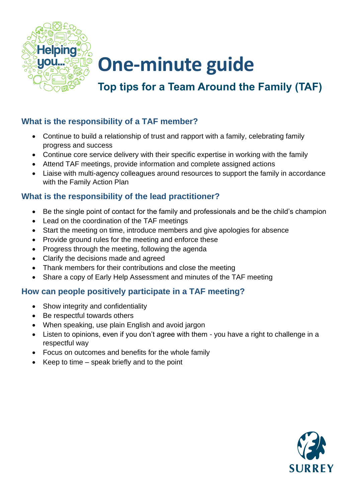

## **One-minute guide**

### **Top tips for a Team Around the Family (TAF)**

#### **What is the responsibility of a TAF member?**

- Continue to build a relationship of trust and rapport with a family, celebrating family progress and success
- Continue core service delivery with their specific expertise in working with the family
- Attend TAF meetings, provide information and complete assigned actions
- Liaise with multi-agency colleagues around resources to support the family in accordance with the Family Action Plan

#### **What is the responsibility of the lead practitioner?**

- Be the single point of contact for the family and professionals and be the child's champion
- Lead on the coordination of the TAF meetings
- Start the meeting on time, introduce members and give apologies for absence
- Provide ground rules for the meeting and enforce these
- Progress through the meeting, following the agenda
- Clarify the decisions made and agreed
- Thank members for their contributions and close the meeting
- Share a copy of Early Help Assessment and minutes of the TAF meeting

#### **How can people positively participate in a TAF meeting?**

- Show integrity and confidentiality
- Be respectful towards others
- When speaking, use plain English and avoid jargon
- Listen to opinions, even if you don't agree with them you have a right to challenge in a respectful way
- Focus on outcomes and benefits for the whole family
- Keep to time speak briefly and to the point